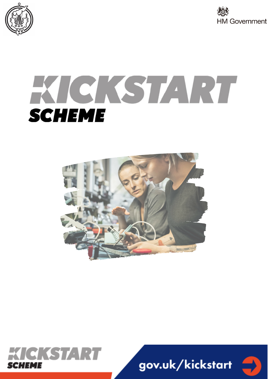



# KICKSTART **SCHEME**





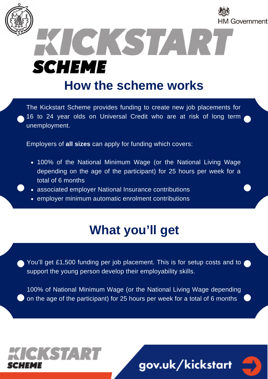

**SCHEME** 

## **How the [scheme](https://kickstart.campaign.gov.uk/) works**

ICKST

HM Government

The Kickstart Scheme provides funding to create new job placements for 16 to 24 year olds on Universal Credit who are at risk of long term unemployment.

Employers of **all sizes** can apply for funding which covers:

- 100% of the National Minimum Wage (or the National Living Wage depending on the age of the participant) for 25 hours per week for a total of 6 months
- associated employer National Insurance contributions
- employer minimum automatic enrolment contributions

CKSTART

# **What you'll get**

You'll get £1,500 funding per job placement. This is for setup costs and to support the young person develop their employability skills.

100% of National Minimum Wage (or the National Living Wage depending on the age of the participant) for 25 hours per week for a total of 6 months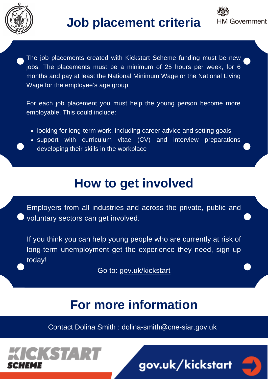



The job placements created with Kickstart Scheme funding must be new jobs. The placements must be a minimum of 25 hours per week, for 6 months and pay at least the National Minimum Wage or the National Living Wage for the employee's age group

For each job placement you must help the young person become more employable. This could include:

- looking for long-term work, including career advice and setting goals
- support with curriculum vitae (CV) and interview preparations developing their skills in the workplace

## **How to get involved**

Employers from all industries and across the private, public and voluntary sectors can get involved.

If you think you can help young people who are currently at risk of long-term unemployment get the experience they need, sign up today!

Go to: [gov.uk/kickstart](https://kickstart.campaign.gov.uk/)

## **For more information**

Contact Dolina Smith : dolina-smith@cne-siar.gov.uk

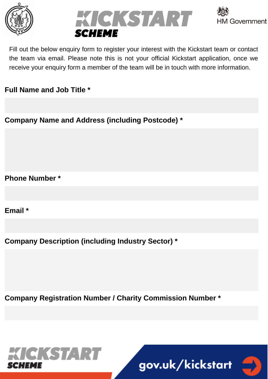





Fill out the below enquiry form to register your interest with the Kickstart team or contact the team via email. Please note this is not your official Kickstart application, once we receive your enquiry form a member of the team will be in touch with more information.

### **Full Name and Job Title \***

**Company Name and Address (including Postcode) \***

**Phone Number \***

**Email \***

**Company Description (including Industry Sector) \***

**Company Registration Number / Charity Commission Number \***



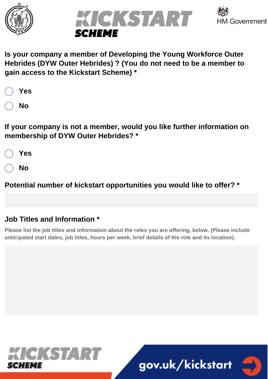





**Is your company a member of Developing the Young Workforce Outer Hebrides (DYW Outer Hebrides) ? (You do not need to be a member to gain access to the Kickstart Scheme) \***

| Yes |
|-----|
| Νo  |

**If your company is not a member, would you like further information on membership of DYW Outer Hebrides? \***

**Yes**

**No**

**Potential number of kickstart opportunities you would like to offer? \***

## **Job Titles and Information \***

**Please list the job titles and information about the roles you are offering, below. (Please include anticipated start dates, job titles, hours per week, brief details of the role and its location).**